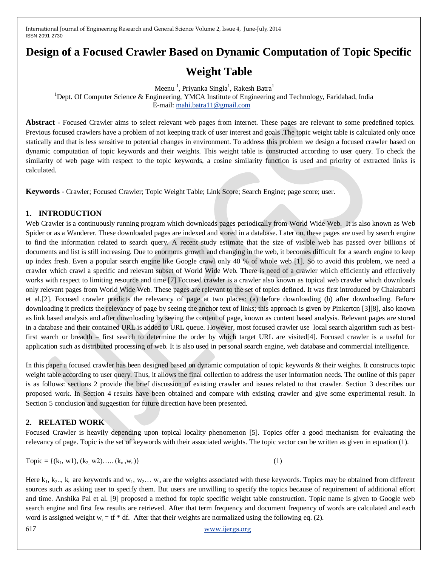# **Design of a Focused Crawler Based on Dynamic Computation of Topic Specific**

# **Weight Table**

Meenu<sup>1</sup>, Priyanka Singla<sup>1</sup>, Rakesh Batra<sup>1</sup>

<sup>1</sup>Dept. Of Computer Science & Engineering, YMCA Institute of Engineering and Technology, Faridabad, India E-mail: [mahi.batra11@gmail.com](mailto:mahi.batra11@gmail.com)

Abstract - Focused Crawler aims to select relevant web pages from internet. These pages are relevant to some predefined topics. Previous focused crawlers have a problem of not keeping track of user interest and goals .The topic weight table is calculated only once statically and that is less sensitive to potential changes in environment. To address this problem we design a focused crawler based on dynamic computation of topic keywords and their weights. This weight table is constructed according to user query. To check the similarity of web page with respect to the topic keywords, a cosine similarity function is used and priority of extracted links is calculated.

**Keywords -** Crawler; Focused Crawler; Topic Weight Table; Link Score; Search Engine; page score; user.

# **1. INTRODUCTION**

Web Crawler is a continuously running program which downloads pages periodically from World Wide Web. It is also known as Web Spider or as a Wanderer. These downloaded pages are indexed and stored in a database. Later on, these pages are used by search engine to find the information related to search query. A recent study estimate that the size of visible web has passed over billions of documents and list is still increasing. Due to enormous growth and changing in the web, it becomes difficult for a search engine to keep up index fresh. Even a popular search engine like Google crawl only 40 % of whole web [1]. So to avoid this problem, we need a crawler which crawl a specific and relevant subset of World Wide Web. There is need of a crawler which efficiently and effectively works with respect to limiting resource and time [7].Focused crawler is a crawler also known as topical web crawler which downloads only relevant pages from World Wide Web. These pages are relevant to the set of topics defined. It was first introduced by Chakrabarti et al.[2]. Focused crawler predicts the relevancy of page at two places: (a) before downloading (b) after downloading. Before downloading it predicts the relevancy of page by seeing the anchor text of links; this approach is given by Pinkerton [3][8], also known as link based analysis and after downloading by seeing the content of page, known as content based analysis. Relevant pages are stored in a database and their contained URL is added to URL queue. However, most focused crawler use local search algorithm such as bestfirst search or breadth – first search to determine the order by which target URL are visited[4]. Focused crawler is a useful for application such as distributed processing of web. It is also used in personal search engine, web database and commercial intelligence.

In this paper a focused crawler has been designed based on dynamic computation of topic keywords & their weights. It constructs topic weight table according to user query. Thus, it allows the final collection to address the user information needs. The outline of this paper is as follows: sections 2 provide the brief discussion of existing crawler and issues related to that crawler. Section 3 describes our proposed work. In Section 4 results have been obtained and compare with existing crawler and give some experimental result. In Section 5 conclusion and suggestion for future direction have been presented.

## **2. RELATED WORK**

Focused Crawler is heavily depending upon topical locality phenomenon [5]. Topics offer a good mechanism for evaluating the relevancy of page. Topic is the set of keywords with their associated weights. The topic vector can be written as given in equation (1).

Topic = {
$$
(k_1, w1), (k_2, w2), \dots, (k_n, w_n)
$$
} 
$$
(1)
$$

617 [www.ijergs.org](http://www.ijergs.org/) Here  $k_1, k_2, k_n$  are keywords and  $w_1, w_2, \ldots, w_n$  are the weights associated with these keywords. Topics may be obtained from different sources such as asking user to specify them. But users are unwilling to specify the topics because of requirement of additional effort and time. Anshika Pal et al. [9] proposed a method for topic specific weight table construction. Topic name is given to Google web search engine and first few results are retrieved. After that term frequency and document frequency of words are calculated and each word is assigned weight  $w_i = tf^* df$ . After that their weights are normalized using the following eq. (2).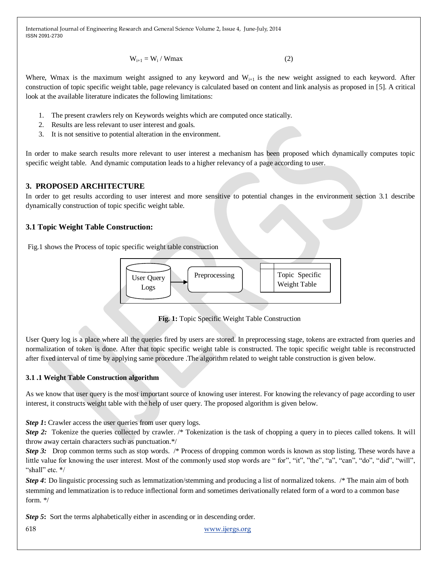$W_{i+1} = W_i / Wmax$  (2)

Where, Wmax is the maximum weight assigned to any keyword and  $W_{i+1}$  is the new weight assigned to each keyword. After construction of topic specific weight table, page relevancy is calculated based on content and link analysis as proposed in [5]. A critical look at the available literature indicates the following limitations:

- 1. The present crawlers rely on Keywords weights which are computed once statically.
- 2. Results are less relevant to user interest and goals.
- 3. It is not sensitive to potential alteration in the environment.

In order to make search results more relevant to user interest a mechanism has been proposed which dynamically computes topic specific weight table. And dynamic computation leads to a higher relevancy of a page according to user.

## **3. PROPOSED ARCHITECTURE**

In order to get results according to user interest and more sensitive to potential changes in the environment section 3.1 describe dynamically construction of topic specific weight table.

## **3.1 Topic Weight Table Construction:**

Fig.1 shows the Process of topic specific weight table construction



**Fig. 1:** Topic Specific Weight Table Construction

User Query log is a place where all the queries fired by users are stored. In preprocessing stage, tokens are extracted from queries and normalization of token is done. After that topic specific weight table is constructed. The topic specific weight table is reconstructed after fixed interval of time by applying same procedure .The algorithm related to weight table construction is given below.

## **3.1 .1 Weight Table Construction algorithm**

As we know that user query is the most important source of knowing user interest. For knowing the relevancy of page according to user interest, it constructs weight table with the help of user query. The proposed algorithm is given below.

*Step 1*: Crawler access the user queries from user query logs.

*Step 2:* Tokenize the queries collected by crawler. /\* Tokenization is the task of chopping a query in to pieces called tokens. It will throw away certain characters such as punctuation.\*/

*Step 3:* Drop common terms such as stop words. /\* Process of dropping common words is known as stop listing. These words have a little value for knowing the user interest. Most of the commonly used stop words are "for", "it", "the", "a", "can", "do", "did", "will", "shall" etc. \*/

*Step 4*: Do linguistic processing such as lemmatization/stemming and producing a list of normalized tokens. /\* The main aim of both stemming and lemmatization is to reduce inflectional form and sometimes derivationally related form of a word to a common base form. \*/

*Step 5*: Sort the terms alphabetically either in ascending or in descending order.

618 [www.ijergs.org](http://www.ijergs.org/)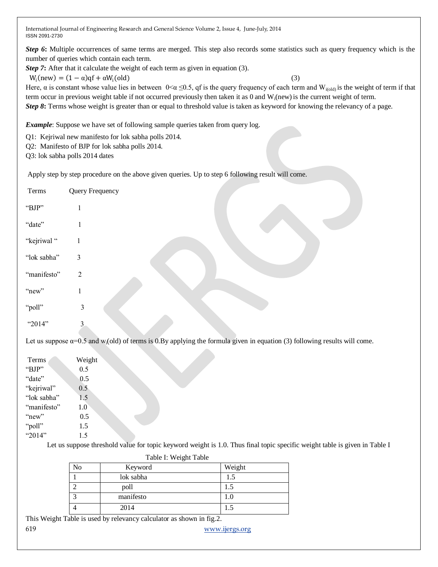*Step 6*: Multiple occurrences of same terms are merged. This step also records some statistics such as query frequency which is the number of queries which contain each term.

*Step 7***:** After that it calculate the weight of each term as given in equation (3).

$$
W_i(new) = (1 - \alpha)qf + \alpha W_i(old)
$$

Here,  $\alpha$  is constant whose value lies in between  $0<\alpha \leq 0.5$ , qf is the query frequency of each term and W<sub>i(old)</sub> is the weight of term if that term occur in previous weight table if not occurred previously then taken it as 0 and  $W_i$ (new) is the current weight of term. *Step 8*: Terms whose weight is greater than or equal to threshold value is taken as keyword for knowing the relevancy of a page.

(3)

*Example*: Suppose we have set of following sample queries taken from query log.

Q1: Kejriwal new manifesto for lok sabha polls 2014.

Q2: Manifesto of BJP for lok sabha polls 2014.

Q3: lok sabha polls 2014 dates

Apply step by step procedure on the above given queries. Up to step 6 following result will come.

| Terms                                                                                                                                          | Query Frequency |  |  |  |
|------------------------------------------------------------------------------------------------------------------------------------------------|-----------------|--|--|--|
| "BJP"                                                                                                                                          |                 |  |  |  |
| "date"                                                                                                                                         | 1               |  |  |  |
| "kejriwal"                                                                                                                                     | 1               |  |  |  |
| "lok sabha"                                                                                                                                    | 3               |  |  |  |
| "manifesto"                                                                                                                                    | $\overline{2}$  |  |  |  |
| "new"                                                                                                                                          | 1               |  |  |  |
| "poll"                                                                                                                                         | 3               |  |  |  |
| "2014"                                                                                                                                         | 3               |  |  |  |
| Let us suppose $\alpha$ =0.5 and w <sub>i</sub> (old) of terms is 0.By applying the formula given in equation (3) following results will come. |                 |  |  |  |
| Terms                                                                                                                                          | Weight          |  |  |  |

| Terms       | Weight |
|-------------|--------|
| "BJP"       | 0.5    |
| "date"      | 0.5    |
| "kejriwal"  | 0.5    |
| "lok sabha" | 1.5    |
| "manifesto" | 1.0    |
| "new"       | 0.5    |
| "poll"      | 1.5    |
| "2014"      | 1.5    |

Let us suppose threshold value for topic keyword weight is 1.0. Thus final topic specific weight table is given in Table I

| Table I: Weight Table |           |        |  |  |  |
|-----------------------|-----------|--------|--|--|--|
| No                    | Keyword   | Weight |  |  |  |
|                       | lok sabha | 1.5    |  |  |  |
|                       | poll      |        |  |  |  |
| ◠                     | manifesto | 1.0    |  |  |  |
|                       | 2014      | 1.5    |  |  |  |

This Weight Table is used by relevancy calculator as shown in fig.2.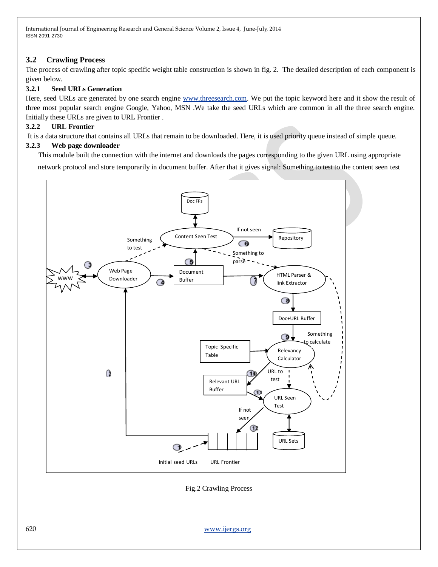# **3.2 Crawling Process**

The process of crawling after topic specific weight table construction is shown in fig. 2. The detailed description of each component is given below.

## **3.2.1 Seed URLs Generation**

Here, seed URLs are generated by one search engine [www.threesearch.com.](http://www.threesearch.com/) We put the topic keyword here and it show the result of three most popular search engine Google, Yahoo, MSN .We take the seed URLs which are common in all the three search engine. Initially these URLs are given to URL Frontier .

#### **3.2.2 URL Frontier**

It is a data structure that contains all URLs that remain to be downloaded. Here, it is used priority queue instead of simple queue.

#### **3.2.3 Web page downloader**

This module built the connection with the internet and downloads the pages corresponding to the given URL using appropriate

network protocol and store temporarily in document buffer. After that it gives signal: Something to test to the content seen test



Fig.2 Crawling Process

620 [www.ijergs.org](http://www.ijergs.org/)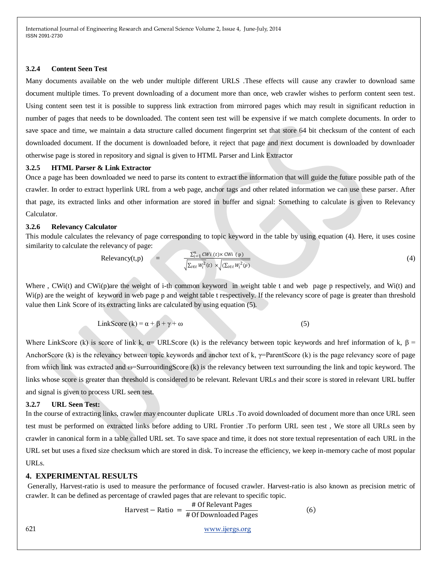#### **3.2.4 Content Seen Test**

Many documents available on the web under multiple different URLS .These effects will cause any crawler to download same document multiple times. To prevent downloading of a document more than once, web crawler wishes to perform content seen test. Using content seen test it is possible to suppress link extraction from mirrored pages which may result in significant reduction in number of pages that needs to be downloaded. The content seen test will be expensive if we match complete documents. In order to save space and time, we maintain a data structure called document fingerprint set that store 64 bit checksum of the content of each downloaded document. If the document is downloaded before, it reject that page and next document is downloaded by downloader otherwise page is stored in repository and signal is given to HTML Parser and Link Extractor

#### **3.2.5 HTML Parser & Link Extractor**

Once a page has been downloaded we need to parse its content to extract the information that will guide the future possible path of the crawler. In order to extract hyperlink URL from a web page, anchor tags and other related information we can use these parser. After that page, its extracted links and other information are stored in buffer and signal: Something to calculate is given to Relevancy Calculator.

#### **3.2.6 Relevancy Calculator**

This module calculates the relevancy of page corresponding to topic keyword in the table by using equation (4). Here, it uses cosine similarity to calculate the relevancy of page:

$$
Relevancy(t,p) =
$$

$$
\frac{\sum_{i=1}^{n} CWi(t) \times CWi(p)}{\sqrt{\sum_{i \in t} W_i^2(t) \times \sqrt{(\sum_{i \in t} W_i^2(p))}}}
$$
(4)

 $(6)$ 

Where, CWi(t) and CWi(p)are the weight of i-th common keyword in weight table t and web page p respectively, and Wi(t) and Wi(p) are the weight of keyword in web page p and weight table t respectively. If the relevancy score of page is greater than threshold value then Link Score of its extracting links are calculated by using equation (5).

$$
LinkScore (k) = \alpha + \beta + \gamma + \omega
$$
 (5)

Where LinkScore (k) is score of link k,  $\alpha$ = URLScore (k) is the relevancy between topic keywords and href information of k,  $\beta$  = AnchorScore (k) is the relevancy between topic keywords and anchor text of k,  $\gamma$ =ParentScore (k) is the page relevancy score of page from which link was extracted and ω=SurroundingScore (k) is the relevancy between text surrounding the link and topic keyword. The links whose score is greater than threshold is considered to be relevant. Relevant URLs and their score is stored in relevant URL buffer and signal is given to process URL seen test.

#### **3.2.7 URL Seen Test:**

In the course of extracting links, crawler may encounter duplicate URLs .To avoid downloaded of document more than once URL seen test must be performed on extracted links before adding to URL Frontier .To perform URL seen test , We store all URLs seen by crawler in canonical form in a table called URL set. To save space and time, it does not store textual representation of each URL in the URL set but uses a fixed size checksum which are stored in disk. To increase the efficiency, we keep in-memory cache of most popular URLs.

#### **4. EXPERIMENTAL RESULTS**

Generally, Harvest-ratio is used to measure the performance of focused crawler. Harvest-ratio is also known as precision metric of crawler. It can be defined as percentage of crawled pages that are relevant to specific topic.

$$
Harvest - Ratio = \frac{\# \text{ Of Relevant Pages}}{\# \text{ Of Downloaded Pages}}
$$

621 [www.ijergs.org](http://www.ijergs.org/)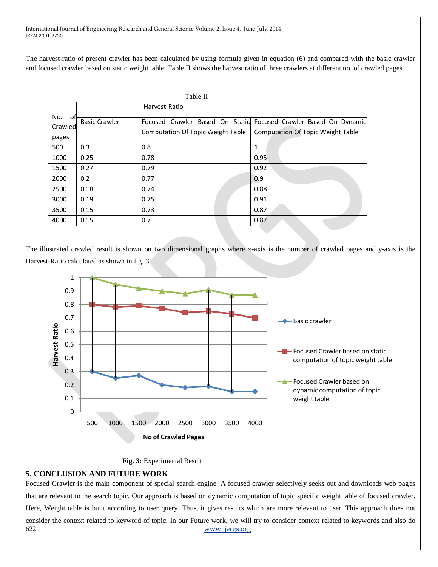The harvest-ratio of present crawler has been calculated by using formula given in equation (6) and compared with the basic crawler and focused crawler based on static weight table. Table II shows the harvest ratio of three crawlers at different no. of crawled pages.

|                                |                      | Table II                                 |                                                                                                              |
|--------------------------------|----------------------|------------------------------------------|--------------------------------------------------------------------------------------------------------------|
|                                | Harvest-Ratio        |                                          |                                                                                                              |
| No.<br>.ot<br>Crawled<br>pages | <b>Basic Crawler</b> | <b>Computation Of Topic Weight Table</b> | Focused Crawler Based On Static Focused Crawler Based On Dynamic<br><b>Computation Of Topic Weight Table</b> |
| 500                            | 0.3                  | 0.8                                      | 1                                                                                                            |
| 1000                           | 0.25                 | 0.78                                     | 0.95                                                                                                         |
| 1500                           | 0.27                 | 0.79                                     | 0.92                                                                                                         |
| 2000                           | 0.2                  | 0.77                                     | 0.9                                                                                                          |
| 2500                           | 0.18                 | 0.74                                     | 0.88                                                                                                         |
| 3000                           | 0.19                 | 0.75                                     | 0.91                                                                                                         |
| 3500                           | 0.15                 | 0.73                                     | 0.87                                                                                                         |
| 4000                           | 0.15                 | 0.7                                      | 0.87                                                                                                         |

The illustrated crawled result is shown on two dimensional graphs where x-axis is the number of crawled pages and y-axis is the Harvest-Ratio calculated as shown in fig. 3



#### **Fig. 3:** Experimental Result

## **5. CONCLUSION AND FUTURE WORK**

622 [www.ijergs.org](http://www.ijergs.org/) Focused Crawler is the main component of special search engine. A focused crawler selectively seeks out and downloads web pages that are relevant to the search topic. Our approach is based on dynamic computation of topic specific weight table of focused crawler. Here, Weight table is built according to user query. Thus, it gives results which are more relevant to user. This approach does not consider the context related to keyword of topic. In our Future work, we will try to consider context related to keywords and also do